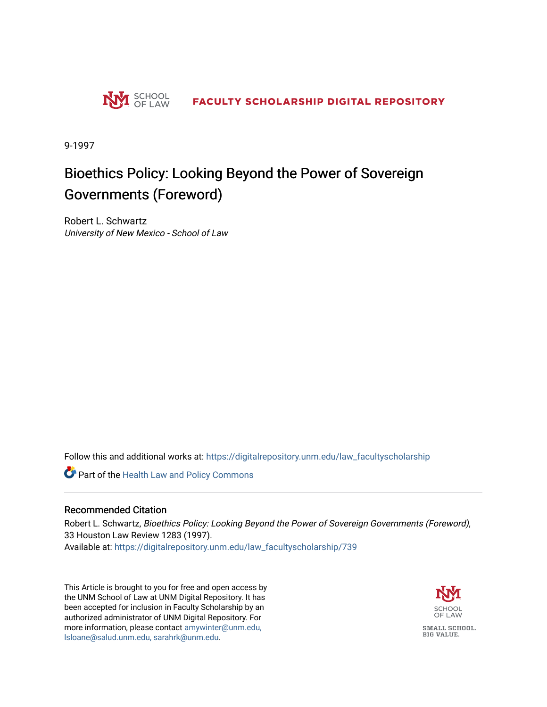

9-1997

### Bioethics Policy: Looking Beyond the Power of Sovereign Governments (Foreword)

Robert L. Schwartz University of New Mexico - School of Law

Follow this and additional works at: [https://digitalrepository.unm.edu/law\\_facultyscholarship](https://digitalrepository.unm.edu/law_facultyscholarship?utm_source=digitalrepository.unm.edu%2Flaw_facultyscholarship%2F739&utm_medium=PDF&utm_campaign=PDFCoverPages) 

Part of the [Health Law and Policy Commons](http://network.bepress.com/hgg/discipline/901?utm_source=digitalrepository.unm.edu%2Flaw_facultyscholarship%2F739&utm_medium=PDF&utm_campaign=PDFCoverPages) 

#### Recommended Citation

Robert L. Schwartz, Bioethics Policy: Looking Beyond the Power of Sovereign Governments (Foreword), 33 Houston Law Review 1283 (1997). Available at: [https://digitalrepository.unm.edu/law\\_facultyscholarship/739](https://digitalrepository.unm.edu/law_facultyscholarship/739?utm_source=digitalrepository.unm.edu%2Flaw_facultyscholarship%2F739&utm_medium=PDF&utm_campaign=PDFCoverPages) 

This Article is brought to you for free and open access by the UNM School of Law at UNM Digital Repository. It has been accepted for inclusion in Faculty Scholarship by an authorized administrator of UNM Digital Repository. For more information, please contact [amywinter@unm.edu,](mailto:amywinter@unm.edu,%20lsloane@salud.unm.edu,%20sarahrk@unm.edu)  [lsloane@salud.unm.edu, sarahrk@unm.edu.](mailto:amywinter@unm.edu,%20lsloane@salud.unm.edu,%20sarahrk@unm.edu)

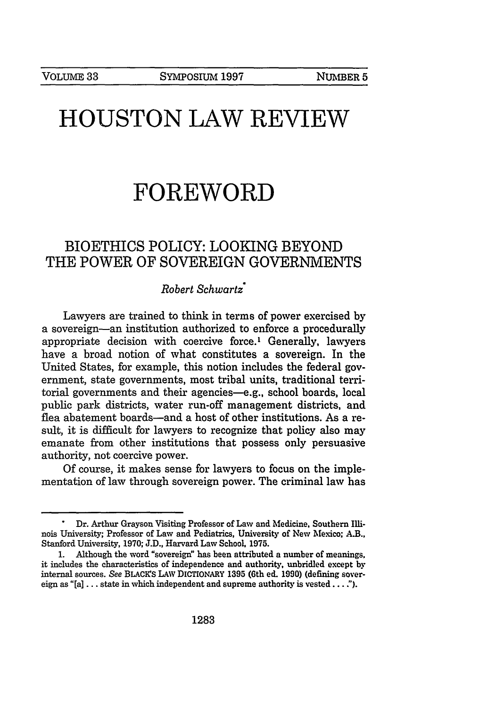# **HOUSTON LAW REVIEW**

## **FOREWORD**

### BIOETHICS POLICY: **LOOKING** BEYOND THE POWER OF SOVEREIGN **GOVERNMENTS**

#### *Robert Schwartz\**

Lawyers are trained to think in terms of power exercised by a sovereign-an institution authorized to enforce a procedurally appropriate decision with coercive force.' Generally, lawyers have a broad notion of what constitutes a sovereign. In the United States, for example, this notion includes the federal government, state governments, most tribal units, traditional territorial governments and their agencies-e.g., school boards, local public park districts, water run-off management districts, and flea abatement boards-and a host of other institutions. As a result, it is difficult for lawyers to recognize that policy also may emanate from other institutions that possess only persuasive authority, not coercive power.

Of course, it makes sense for lawyers to focus on the implementation of law through sovereign power. The criminal law has

**<sup>.</sup>** Dr. Arthur Grayson Visiting Professor of Law and Medicine, Southern Illinois University; Professor of Law and Pediatrics, University of New Mexico; A.B., Stanford University, 1970; J.D., Harvard Law School, **1975.**

Although the word "sovereign" has been attributed a number of meanings, it includes the characteristics of independence and authority, unbridled except by internal sources. See BLACICS LAW DICTIONARY **1395** (6th *ed.* **1990)** (defining sovereign as "[a]  $\dots$  state in which independent and supreme authority is vested  $\dots$ .").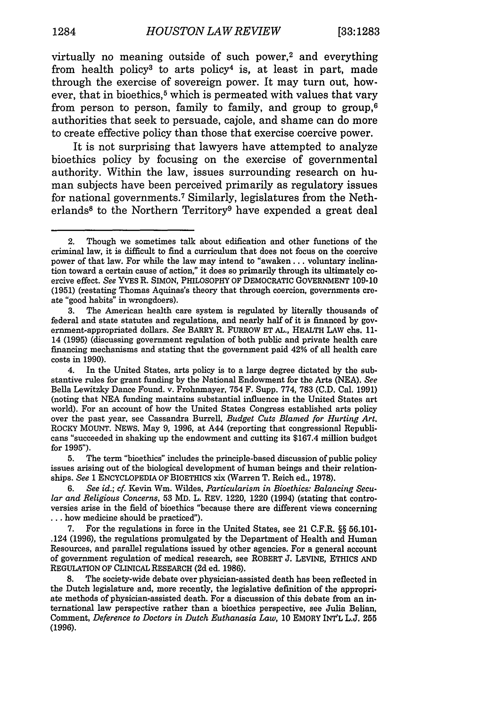virtually no meaning outside of such power,<sup>2</sup> and everything from health policy<sup>3</sup> to arts policy<sup>4</sup> is, at least in part, made through the exercise of sovereign power. It may turn out, however, that in bioethics, $5$  which is permeated with values that vary from person to person, family to family, and group to group,  $6$ authorities that seek to persuade, cajole, and shame can do more to create effective policy than those that exercise coercive power.

It is not surprising that lawyers have attempted to analyze bioethics policy by focusing on the exercise of governmental authority. Within the law, issues surrounding research on human subjects have been perceived primarily as regulatory issues for national governments.<sup>7</sup> Similarly, legislatures from the Netherlands<sup>8</sup> to the Northern Territory<sup>9</sup> have expended a great deal

5. The term "bioethics" includes the principle-based discussion of public policy issues arising out of the biological development of human beings and their relationships. *See* 1 ENCYCLOPEDIA OF BIOETHICS xix (Warren T. Reich ed., 1978).

*6. See id.; cf.* Kevin Win. Wildes, *Particularism in Bioethics: Balancing Secu*lar *and Religious Concerns,* **53** MD. L. REV. 1220, 1220 (1994) (stating that controversies arise in the field of bioethics "because there are different views concerning **...** how medicine should be practiced").

7. For the regulations in force in the United States, see 21 C.F.R. §§ 56.101- .124 (1996), the regulations promulgated by the Department of Health and Human Resources, and parallel regulations issued by other agencies. For a general account of government regulation of medical research, see ROBERT **J.** LEVINE, ETHICS AND REGULATION OF CLINICAL RESEARCH **(2d** ed. **1986).**

8. The society-wide debate over physician-assisted death has been reflected in the Dutch legislature and, more recently, the legislative definition of the appropriate methods of physician-assisted death. For a discussion of this debate from an international law perspective rather than a bioethics perspective, see Julia Belian, Comment, *Deference to Doctors in Dutch Euthanasia Law,* 10 EMORY INT'L L.J. 255 (1996).

<sup>2.</sup> Though we sometimes talk about edification and other functions of the criminal law, it is difficult to find a curriculum that does not focus on the coercive power of that law. For while the law may intend to "awaken... voluntary inclination toward a certain cause of action," it does so primarily through its ultimately coercive effect. *See* YVES R. SIMON, PHILOSOPHY OF DEMOCRATIC GOVERNMENT 109-10 (1951) (restating Thomas Aquinas's theory that through coercion, governments create "good habits" in wrongdoers).

<sup>3.</sup> The American health care system is regulated by literally thousands of federal and state statutes and regulations, and nearly half of it is financed by government-appropriated dollars. *See* BARRY R. FURROW ET AL., HEALTH LAW chs. 11- 14 (1995) (discussing government regulation of both public and private health care financing mechanisms and stating that the government paid 42% of all health care costs in 1990).

<sup>4.</sup> In the United States, arts policy is to a large degree dictated by the substantive rules for grant funding by the National Endowment for the Arts (NEA). *See* Bella Lewitzky Dance Found. v. Frohnmayer, 754 F. Supp. 774, 783 (C.D. Cal. 1991) (noting that NEA funding maintains substantial influence in the United States art world). For an account of how the United States Congress established arts policy over the past year. see Cassandra Burrell, *Budget Cuts Blamed for Hurting Art.* ROCKY MOUNT. NEWS. May 9, 1996, at A44 (reporting that congressional Republicans "succeeded in shaking up the endowment and cutting its \$167.4 million budget for 1995").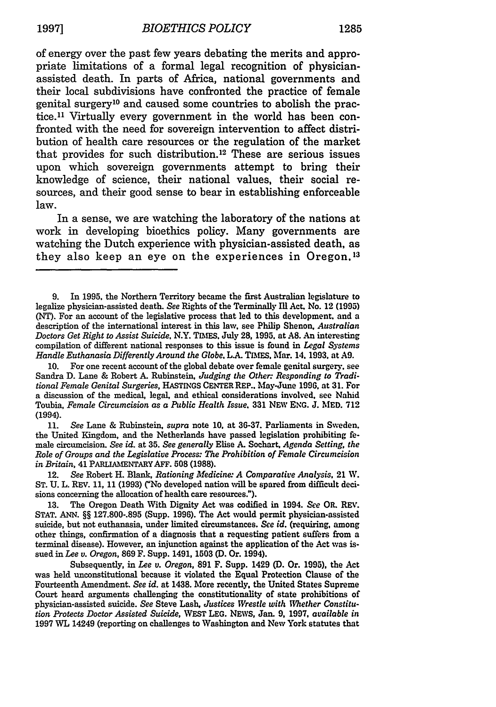of energy over the past few years debating the merits and appropriate limitations of a formal legal recognition of physicianassisted death. In parts of Africa, national governments and their local subdivisions have confronted the practice of female genital surgery10 and caused some countries to abolish the practice.<sup>11</sup> Virtually every government in the world has been confronted with the need for sovereign intervention to affect distribution of health care resources or the regulation of the market that provides for such distribution.<sup>12</sup> These are serious issues upon which sovereign governments attempt to bring their knowledge of science, their national values, their social resources, and their good sense to bear in establishing enforceable law.

In a sense, we are watching the laboratory of the nations at work in developing bioethics policy. Many governments are watching the Dutch experience with physician-assisted death, as they also keep an eye on the experiences in Oregon, <sup>13</sup>

**<sup>9.</sup>** In **1995,** the Northern Territory became the first Australian legislature to legalize physician-assisted death. See Rights of the Terminally Ill Act. No. 12 **(1995)** (NT). For an account of the legislative process that led to this development and a description of the international interest in this law, see Philip Shenon, *Australian Doctors Get Right to Assist Suicide,* N.Y. TIMES. July **28,** 1995, at **AS.** An interesting compilation of different national responses to this issue is found in *Legal Systems Handle Euthanasia Differently Around the Globe.* **LA TBIES.** Mar. 14. **1993.** at **A9.**

<sup>10.</sup> For one recent account of the global debate over female genital surgery, see Sandra D. Lane & Robert A. Rubinstein, *Judging the Other: Responding to Traditional Female Genital Surgeries,* HASTINGS **CENTER** REP.. May-June **1996.** at 31. For a discussion of the medical, legal, and ethical considerations involved, see Nahid Toubia, *Female Circumcision as a Public Health Issue.* 331 NEW **ENG.** J. MED. 712 (1994).

<sup>11.</sup> *See* Lane & Rubinstein, *supra* note **10,** at **36-37.** Parliaments in Sweden. the United Kingdom, and the Netherlands have passed legislation prohibiting female circumcision. *See id.* at **35.** *See generally* Elise **A.** Sochart, *Agenda Setting, the Role of Groups and the Legislative Process: The Prohibition of Female Circumcision in Britain, 41 PARLIAMENTARY AFF.* 508 (1988).

<sup>12.</sup> *See* Robert H. Blank, *Rationing Medicine: A Comparative Analysis,* 21 W. ST. **U.** L. REV. **11,** 11 (1993) ("No developed nation will be spared from difficult decisions concerning the allocation of health care resources.").

<sup>13.</sup> The Oregon Death With Dignity Act was codified in 1994. *See* OR. REV. STAT. ANN. §§ 127.800-.895 (Supp. 1996). The Act would permit physician-assisted suicide, but not euthanasia, under limited circumstances. *See id.* (requiring, among other things, confirmation of a diagnosis that a requesting patient suffers from a terminal disease). However, an injunction against the application of the Act was issued in *Lee v. Oregon,* 869 F. Supp. 1491, 1503 **(D.** Or. 1994).

Subsequently, in *Lee v. Oregon,* 891 F. Supp. 1429 **(D.** Or. **1995),** the Act was held unconstitutional because it violated the Equal Protection Clause of the Fourteenth Amendment. *See id.* at 1438. More recently, the United States Supreme Court heard arguments challenging the constitutionality of state prohibitions of physician-assisted suicide. *See* Steve Lash, *Justices Wrestle with Whether Constitution Protects Doctor Assisted Suicide,* **WEST LEG. NEWS,** Jan. **9, 1997,** *available in* 1997 WL 14249 (reporting on challenges to Washington and New York statutes that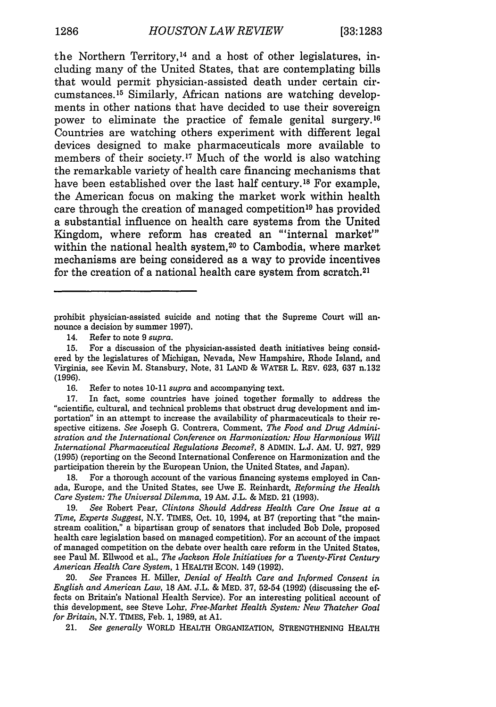the Northern Territory, 14 and a host of other legislatures, including many of the United States, that are contemplating bills that would permit physician-assisted death under certain circumstances. 15 Similarly, African nations are watching developments in other nations that have decided to use their sovereign power to eliminate the practice of female genital surgery. <sup>16</sup> Countries are watching others experiment with different legal devices designed to make pharmaceuticals more available to members of their society.<sup>17</sup> Much of the world is also watching the remarkable variety of health care financing mechanisms that have been established over the last half century.18 For example, the American focus on making the market work within health care through the creation of managed competition<sup>19</sup> has provided a substantial influence on health care systems from the United Kingdom, where reform has created an "'internal market"' within the national health system,<sup>20</sup> to Cambodia, where market mechanisms are being considered as a way to provide incentives for the creation of a national health care system from scratch.<sup>21</sup>

18. For a thorough account of the various financing systems employed in Canada, Europe, and the United States, see Uwe E. Reinhardt, *Reforming the Health Care System: The Universal Dilemma,* 19 AM. J.L. & MED. 21 (1993).

19. *See* Robert Pear, *Clintons Should Address Health Care One Issue at a Time, Experts Suggest,* N.Y. TIMES, Oct. 10, 1994, at B7 (reporting that "the mainstream coalition," a bipartisan group of senators that included Bob Dole, proposed health care legislation based on managed competition). For an account of the impact of managed competition on the debate over health care reform in the United States, see Paul M. Ellwood et al., *The Jackson Hole Initiatives for a Twenty-First Century American Health Care System,* 1 HEALTH EcoN. 149 (1992).

20. *See* Frances H. Miller, *Denial of Health Care and Informed Consent in English and American Law,* 18 AM. J.L. & MED. 37, 52-54 (1992) (discussing the **ef**fects on Britain's National Health Service). For an interesting political account of this development, see Steve Lohr, *Free-Market Health System: New Thatcher Goal for Britain,* N.Y. TIMES, Feb. 1, 1989, at **Al.**

21. *See generally* WORLD HEALTH ORGANIZATION, STRENGTHENING HEALTH

prohibit physician-assisted suicide and noting that the Supreme Court will announce a decision by summer 1997).

<sup>14.</sup> Refer to note 9 *supra.*

<sup>15.</sup> For a discussion of the physician-assisted death initiatives being considered by the legislatures of Michigan, Nevada, New Hampshire, Rhode Island, and Virginia, see Kevin M. Stansbury, Note, 31 LAND & WATER L. REV. 623, 637 n.132 (1996).

<sup>16.</sup> Refer to notes 10-11 *supra* and accompanying text.

<sup>17.</sup> In fact, some countries have joined together formally to address the "scientific, cultural, and technical problems that obstruct drug development and importation" in an attempt to increase the availability of pharmaceuticals to their respective citizens. *See* Joseph G. Contrera, Comment, *The Food and Drug Administration and the International Conference on Harmonization: How Harmonious Will International Pharmaceutical Regulations Become?,* 8 ADMIN. L.J. AM. U. 927, 929 (1995) (reporting on the Second International Conference on Harmonization and the participation therein by the European Union, the United States, and Japan).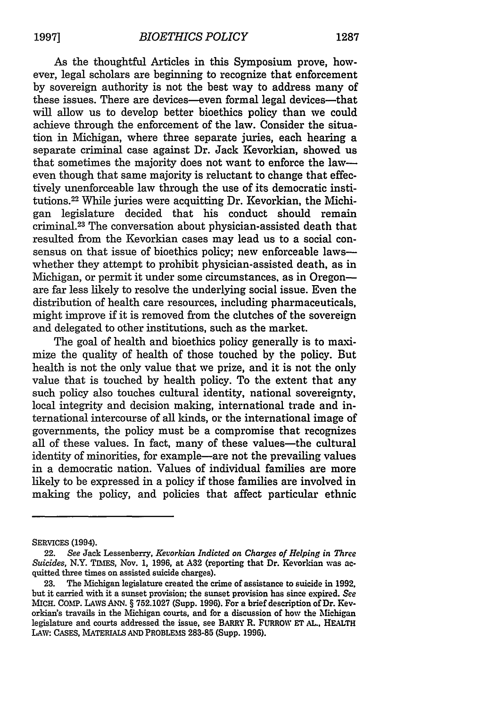As the thoughtful Articles in this Symposium prove, however, legal scholars are beginning to recognize that enforcement by sovereign authority is not the best way to address many of these issues. There are devices-even formal legal devices-that will allow us to develop better bioethics policy than we could achieve through the enforcement of the law. Consider the situation in Michigan, where three separate juries, each hearing a separate criminal case against Dr. Jack Kevorkian, showed us that sometimes the majority does not want to enforce the laweven though that same majority is reluctant to change that effectively unenforceable law through the use of its democratic institutions.22 While juries were acquitting Dr. Kevorkian, the Michigan legislature decided that his conduct should remain criminal. 23 The conversation about physician-assisted death that resulted from the Kevorkian cases may lead us to a social consensus on that issue of bioethics policy; new enforceable lawswhether they attempt to prohibit physician-assisted death, as in Michigan, or permit it under some circumstances, as in Oregonare far less likely to resolve the underlying social issue. Even the distribution of health care resources, including pharmaceuticals, might improve if it is removed from the clutches of the sovereign and delegated to other institutions, such as the market.

The goal of health and bioethics policy generally is to maximize the quality of health of those touched by the policy. But health is not the only value that we prize, and it is not the only value that is touched by health policy. To the extent that any such policy also touches cultural identity, national sovereignty, local integrity and decision making, international trade and international intercourse of all kinds, or the international image of governments, the policy must be a compromise that recognizes all of these values. In fact, many of these values-the cultural identity of minorities, for example—are not the prevailing values in a democratic nation. Values of individual families are more likely to be expressed in a policy if those families are involved in making the policy, and policies that affect particular ethnic

SERVICES (1994).

<sup>22.</sup> *See* Jack Lessenberry, *Keuorkian Indicted on Charges of Helping in Three Suicides,* N.Y. TIMES, Nov. 1, 1996, at **A32** (reporting that Dr. Kevorkian was acquitted three times on assisted suicide charges).

<sup>23.</sup> The Michigan legislature created the crime of assistance to suicide in 1992, but it carried with it a sunset provision; the sunset provision has since expired. *See* **MICH.** COMP. LAWS ANN. § 752.1027 (Supp. 1996). For a brief description of Dr. Kevorkian's travails in the Michigan courts, and for a discussion of how the Michigan legislature and courts addressed the issue, see BARRY R. FURROW ET AL., HEALTH LAW: CASES, MATERIALS **AND** PROBLEMS 283-85 (Supp. 1996).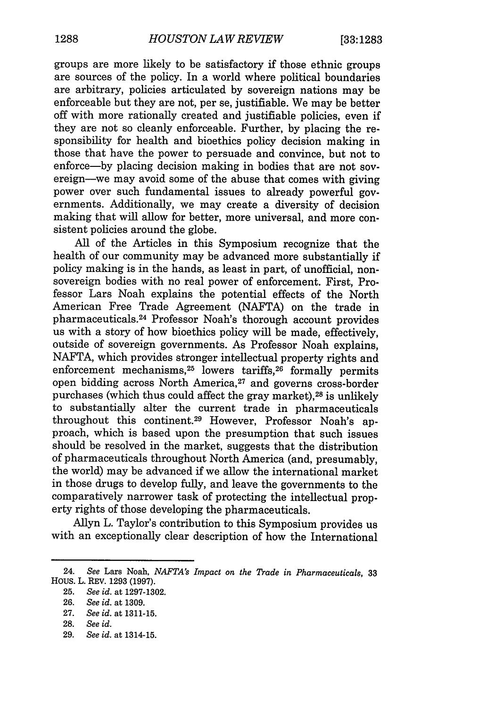groups are more likely to be satisfactory if those ethnic groups are sources of the policy. In a world where political boundaries are arbitrary, policies articulated by sovereign nations may be enforceable but they are not, per se, justifiable. We may be better off with more rationally created and justifiable policies, even if they are not so cleanly enforceable. Further, by placing the responsibility for health and bioethics policy decision making in those that have the power to persuade and convince, but not to enforce—by placing decision making in bodies that are not sovereign-we may avoid some of the abuse that comes with giving power over such fundamental issues to already powerful governments. Additionally, we may create a diversity of decision making that will allow for better, more universal, and more consistent policies around the globe.

All of the Articles in this Symposium recognize that the health of our community may be advanced more substantially if policy making is in the hands, as least in part, of unofficial, nonsovereign bodies with no real power of enforcement. First, Professor Lars Noah explains the potential effects of the North American Free Trade Agreement (NAFTA) on the trade in pharmaceuticals. 24 Professor Noah's thorough account provides us with a story of how bioethics policy will be made, effectively, outside of sovereign governments. As Professor Noah explains, NAFTA, which provides stronger intellectual property rights and enforcement mechanisms, 25 lowers tariffs,26 formally permits open bidding across North America,<sup>27</sup> and governs cross-border purchases (which thus could affect the gray market),<sup>28</sup> is unlikely to substantially alter the current trade in pharmaceuticals throughout this continent.<sup>29</sup> However, Professor Noah's approach, which is based upon the presumption that such issues should be resolved in the market, suggests that the distribution of pharmaceuticals throughout North America (and, presumably, the world) may be advanced if we allow the international market in those drugs to develop fully, and leave the governments to the comparatively narrower task of protecting the intellectual property rights of those developing the pharmaceuticals.

Allyn L. Taylor's contribution to this Symposium provides us with an exceptionally clear description of how the International

<sup>24.</sup> *See* Lars Noah, *NAFTA's Impact on the Trade in Pharmaceuticals,* **33** Hous. L. REV. **1293 (1997).**

**<sup>25.</sup>** *See id.* at **1297-1302.**

**<sup>26.</sup>** *See id.* at 1309.

**<sup>27.</sup>** *See id.* at 1311-15.

**<sup>28.</sup>** *See id.*

<sup>29.</sup> *See id.* at 1314-15.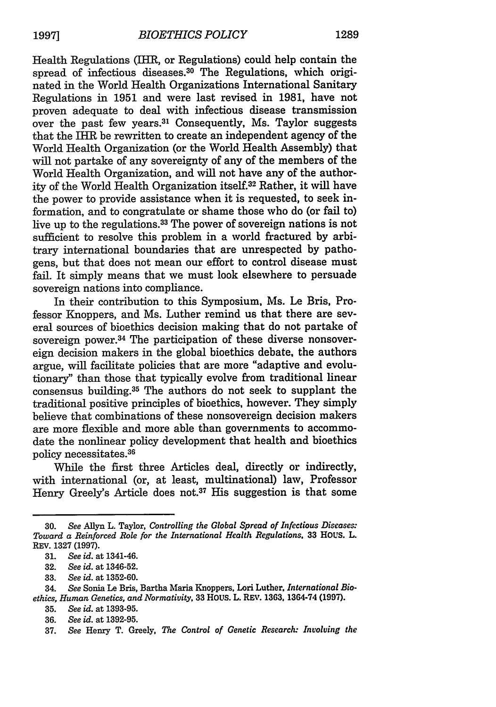Health Regulations (IHR, or Regulations) could help contain the spread of infectious diseases.<sup>30</sup> The Regulations, which originated in the World Health Organizations International Sanitary Regulations in 1951 and were last revised in 1981, have not proven adequate to deal with infectious disease transmission over the past few years.3' Consequently, Ms. Taylor suggests that the IHR be rewritten to create an independent agency of the World Health Organization (or the World Health Assembly) that will not partake of any sovereignty of any of the members of the World Health Organization, and will not have any of the authority of the World Health Organization itself.32 Rather, it will have the power to provide assistance when it is requested, to seek information, and to congratulate or shame those who do (or fail to) live up to the regulations.<sup>33</sup> The power of sovereign nations is not sufficient to resolve this problem in a world fractured by arbitrary international boundaries that are unrespected by pathogens, but that does not mean our effort to control disease must fail. It simply means that we must look elsewhere to persuade sovereign nations into compliance.

In their contribution to this Symposium, Ms. Le Bris, Professor Knoppers, and Ms. Luther remind us that there are several sources of bioethics decision making that do not partake of sovereign power.<sup>34</sup> The participation of these diverse nonsovereign decision makers in the global bioethics debate, the authors argue, will facilitate policies that are more "adaptive and evolutionary" than those that typically evolve from traditional linear consensus building.35 The authors do not seek to supplant the traditional positive principles of bioethics, however. They simply believe that combinations of these nonsovereign decision makers are more flexible and more able than governments to accommodate the nonlinear policy development that health and bioethics policy necessitates.<sup>36</sup>

While the first three Articles deal, directly or indirectly, with international (or, at least, multinational) law, Professor Henry Greely's Article does not.37 His suggestion is that some

**<sup>30.</sup>** *See* Allyn L. Taylor, *Controlling the Global Spread of Infectious Diseases: Toward a Reinforced Role for the International Health Regulations.* **33 HOUS. L.** REV. 1327 (1997).

**<sup>31.</sup>** *See id.* at 1341-46.

**<sup>32.</sup>** *See id.* at 1346-52.

**<sup>33.</sup>** *See id.* at 1352-60.

<sup>34.</sup> *See* Sonia Le Bris, Bartha Maria Knoppers. **Lori** Luther, *International Bioethics, Human Genetics, and Normativity,* **33 HOUS. L. REV. 1363, 1364-74 (1997).**

**<sup>35.</sup>** *See id.* at **1393-95.**

**<sup>36.</sup>** *See id.* at **1392-95.**

**<sup>37.</sup>** *See* Henry T. Greely, *The Control of Genetic Research: Involving the*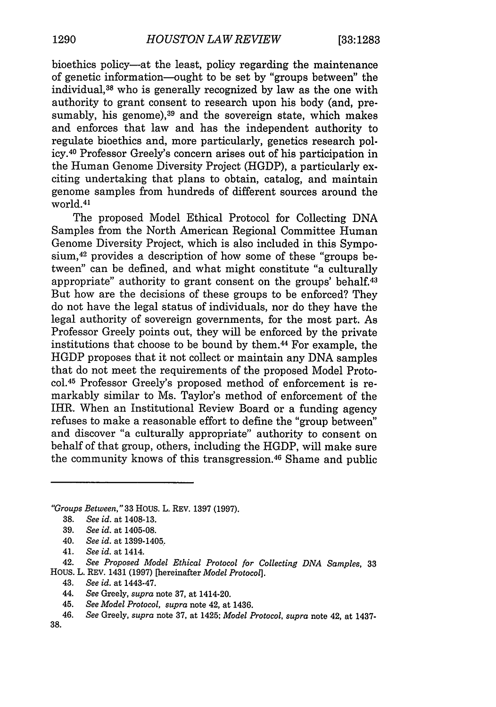bioethics policy-at the least, policy regarding the maintenance of genetic information-ought to be set by "groups between" the individual, 38 who is generally recognized by law as the one with authority to grant consent to research upon his body (and, presumably, his genome), $39$  and the sovereign state, which makes and enforces that law and has the independent authority to regulate bioethics and, more particularly, genetics research policy. 40 Professor Greely's concern arises out of his participation in the Human Genome Diversity Project (HGDP), a particularly exciting undertaking that plans to obtain, catalog, and maintain genome samples from hundreds of different sources around the world.<sup>41</sup>

The proposed Model Ethical Protocol for Collecting DNA Samples from the North American Regional Committee Human Genome Diversity Project, which is also included in this Symposium, 42 provides a description of how some of these "groups between" can be defined, and what might constitute "a culturally appropriate" authority to grant consent on the groups' behalf.<sup>43</sup> But how are the decisions of these groups to be enforced? They do not have the legal status of individuals, nor do they have the legal authority of sovereign governments, for the most part. As Professor Greely points out, they will be enforced by the private institutions that choose to be bound by them.44 For example, the HGDP proposes that it not collect or maintain any DNA samples that do not meet the requirements of the proposed Model Protocol. 45 Professor Greely's proposed method of enforcement is remarkably similar to Ms. Taylor's method of enforcement of the IHR. When an Institutional Review Board or a funding agency refuses to make a reasonable effort to define the "group between" and discover "a culturally appropriate" authority to consent on behalf of that group, others, including the HGDP, will make sure the community knows of this transgression. 46 Shame and public

*"Groups Between,"* 33 HOUS. L. REV. 1397 (1997).

40. *See id.* at 1399-1405.

42. *See Proposed Model Ethical Protocol for Collecting DNA Samples,* <sup>33</sup> HOUS. L. REV. 1431 (1997) [hereinafter *Model Protocol].*

<sup>38.</sup> *See id.* at 1408-13.

<sup>39.</sup> *See id.* at 1405-08.

<sup>41.</sup> *See id.* at 1414.

<sup>43.</sup> *See id.* at 1443-47.

<sup>44.</sup> *See* Greely, *supra* note 37, at 1414-20.

<sup>45.</sup> *See Model Protocol, supra* note 42, at 1436.

<sup>46.</sup> *See* Greely, *supra* note 37, at 1425; *Model Protocol, supra* note 42, at 1437-